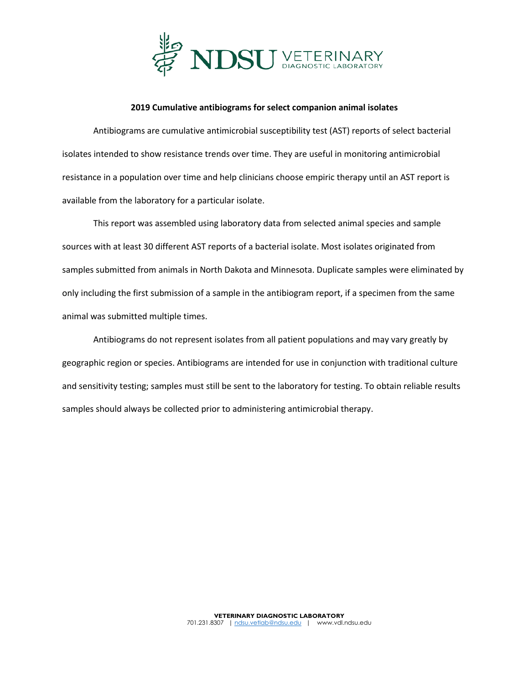

## **2019 Cumulative antibiograms for select companion animal isolates**

Antibiograms are cumulative antimicrobial susceptibility test (AST) reports of select bacterial isolates intended to show resistance trends over time. They are useful in monitoring antimicrobial resistance in a population over time and help clinicians choose empiric therapy until an AST report is available from the laboratory for a particular isolate.

This report was assembled using laboratory data from selected animal species and sample sources with at least 30 different AST reports of a bacterial isolate. Most isolates originated from samples submitted from animals in North Dakota and Minnesota. Duplicate samples were eliminated by only including the first submission of a sample in the antibiogram report, if a specimen from the same animal was submitted multiple times.

Antibiograms do not represent isolates from all patient populations and may vary greatly by geographic region or species. Antibiograms are intended for use in conjunction with traditional culture and sensitivity testing; samples must still be sent to the laboratory for testing. To obtain reliable results samples should always be collected prior to administering antimicrobial therapy.